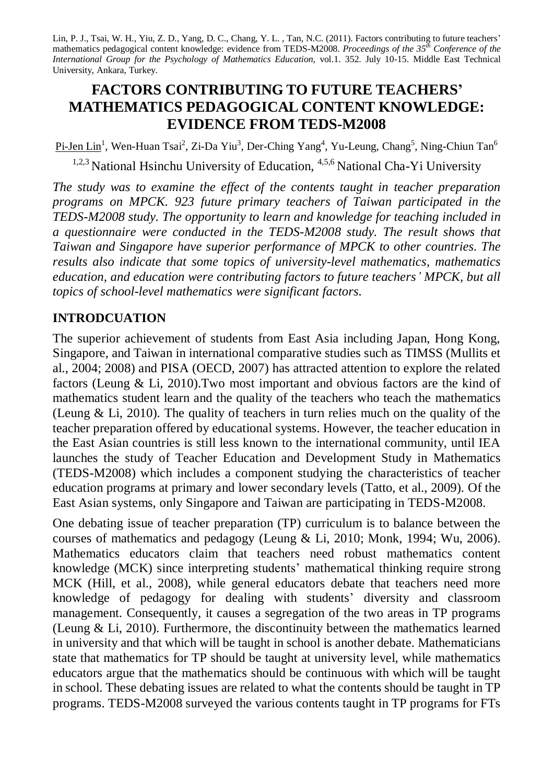Lin, P. J., Tsai, W. H., Yiu, Z. D., Yang, D. C., Chang, Y. L. , Tan, N.C. (2011). Factors contributing to future teachers' mathematics pedagogical content knowledge: evidence from TEDS-M2008. *Proceedings of the 35 th Conference of the International Group for the Psychology of Mathematics Education,* vol.1. 352. July 10-15. Middle East Technical University, Ankara, Turkey.

# **FACTORS CONTRIBUTING TO FUTURE TEACHERS' MATHEMATICS PEDAGOGICAL CONTENT KNOWLEDGE: EVIDENCE FROM TEDS-M2008**

Pi-Jen Lin<sup>1</sup>, Wen-Huan Tsai<sup>2</sup>, Zi-Da Yiu<sup>3</sup>, Der-Ching Yang<sup>4</sup>, Yu-Leung, Chang<sup>5</sup>, Ning-Chiun Tan<sup>6</sup> <sup>1,2,3</sup> National Hsinchu University of Education, <sup>4,5,6</sup> National Cha-Yi University

*The study was to examine the effect of the contents taught in teacher preparation programs on MPCK. 923 future primary teachers of Taiwan participated in the TEDS-M2008 study. The opportunity to learn and knowledge for teaching included in a questionnaire were conducted in the TEDS-M2008 study. The result shows that Taiwan and Singapore have superior performance of MPCK to other countries. The results also indicate that some topics of university-level mathematics, mathematics education, and education were contributing factors to future teachers' MPCK, but all topics of school-level mathematics were significant factors.* 

## **INTRODCUATION**

The superior achievement of students from East Asia including Japan, Hong Kong, Singapore, and Taiwan in international comparative studies such as TIMSS (Mullits et al., 2004; 2008) and PISA (OECD, 2007) has attracted attention to explore the related factors (Leung & Li, 2010).Two most important and obvious factors are the kind of mathematics student learn and the quality of the teachers who teach the mathematics (Leung & Li, 2010). The quality of teachers in turn relies much on the quality of the teacher preparation offered by educational systems. However, the teacher education in the East Asian countries is still less known to the international community, until IEA launches the study of Teacher Education and Development Study in Mathematics (TEDS-M2008) which includes a component studying the characteristics of teacher education programs at primary and lower secondary levels (Tatto, et al., 2009). Of the East Asian systems, only Singapore and Taiwan are participating in TEDS-M2008.

One debating issue of teacher preparation (TP) curriculum is to balance between the courses of mathematics and pedagogy (Leung & Li, 2010; Monk, 1994; Wu, 2006). Mathematics educators claim that teachers need robust mathematics content knowledge (MCK) since interpreting students' mathematical thinking require strong MCK (Hill, et al., 2008), while general educators debate that teachers need more knowledge of pedagogy for dealing with students' diversity and classroom management. Consequently, it causes a segregation of the two areas in TP programs (Leung & Li, 2010). Furthermore, the discontinuity between the mathematics learned in university and that which will be taught in school is another debate. Mathematicians state that mathematics for TP should be taught at university level, while mathematics educators argue that the mathematics should be continuous with which will be taught in school. These debating issues are related to what the contents should be taught in TP programs. TEDS-M2008 surveyed the various contents taught in TP programs for FTs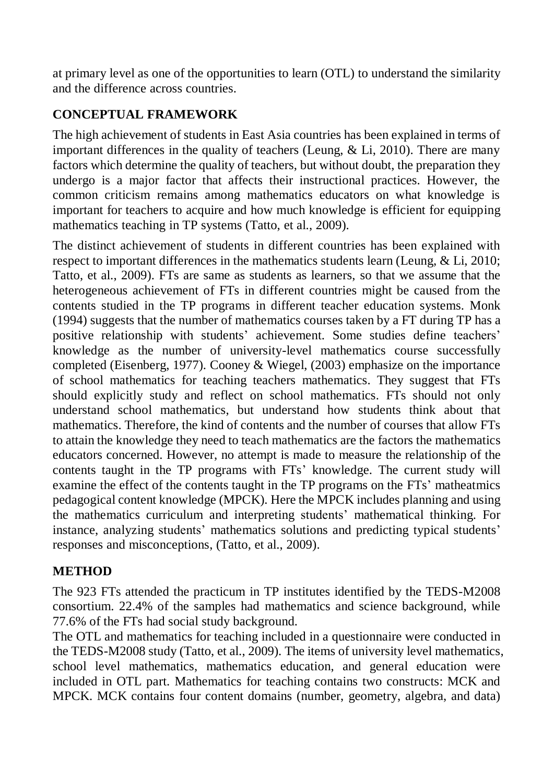at primary level as one of the opportunities to learn (OTL) to understand the similarity and the difference across countries.

# **CONCEPTUAL FRAMEWORK**

The high achievement of students in East Asia countries has been explained in terms of important differences in the quality of teachers (Leung, & Li, 2010). There are many factors which determine the quality of teachers, but without doubt, the preparation they undergo is a major factor that affects their instructional practices. However, the common criticism remains among mathematics educators on what knowledge is important for teachers to acquire and how much knowledge is efficient for equipping mathematics teaching in TP systems (Tatto, et al., 2009).

The distinct achievement of students in different countries has been explained with respect to important differences in the mathematics students learn (Leung, & Li, 2010; Tatto, et al., 2009). FTs are same as students as learners, so that we assume that the heterogeneous achievement of FTs in different countries might be caused from the contents studied in the TP programs in different teacher education systems. Monk (1994) suggests that the number of mathematics courses taken by a FT during TP has a positive relationship with students' achievement. Some studies define teachers' knowledge as the number of university-level mathematics course successfully completed (Eisenberg, 1977). Cooney & Wiegel, (2003) emphasize on the importance of school mathematics for teaching teachers mathematics. They suggest that FTs should explicitly study and reflect on school mathematics. FTs should not only understand school mathematics, but understand how students think about that mathematics. Therefore, the kind of contents and the number of courses that allow FTs to attain the knowledge they need to teach mathematics are the factors the mathematics educators concerned. However, no attempt is made to measure the relationship of the contents taught in the TP programs with FTs' knowledge. The current study will examine the effect of the contents taught in the TP programs on the FTs' matheatmics pedagogical content knowledge (MPCK). Here the MPCK includes planning and using the mathematics curriculum and interpreting students' mathematical thinking. For instance, analyzing students' mathematics solutions and predicting typical students' responses and misconceptions, (Tatto, et al., 2009).

# **METHOD**

The 923 FTs attended the practicum in TP institutes identified by the TEDS-M2008 consortium. 22.4% of the samples had mathematics and science background, while 77.6% of the FTs had social study background.

The OTL and mathematics for teaching included in a questionnaire were conducted in the TEDS-M2008 study (Tatto, et al., 2009). The items of university level mathematics, school level mathematics, mathematics education, and general education were included in OTL part. Mathematics for teaching contains two constructs: MCK and MPCK. MCK contains four content domains (number, geometry, algebra, and data)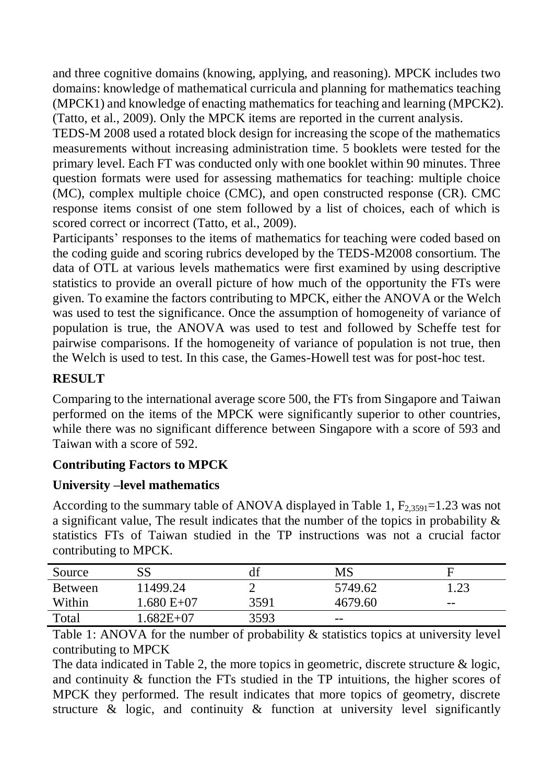and three cognitive domains (knowing, applying, and reasoning). MPCK includes two domains: knowledge of mathematical curricula and planning for mathematics teaching (MPCK1) and knowledge of enacting mathematics for teaching and learning (MPCK2). (Tatto, et al., 2009). Only the MPCK items are reported in the current analysis.

TEDS-M 2008 used a rotated block design for increasing the scope of the mathematics measurements without increasing administration time. 5 booklets were tested for the primary level. Each FT was conducted only with one booklet within 90 minutes. Three question formats were used for assessing mathematics for teaching: multiple choice (MC), complex multiple choice (CMC), and open constructed response (CR). CMC response items consist of one stem followed by a list of choices, each of which is scored correct or incorrect (Tatto, et al., 2009).

Participants' responses to the items of mathematics for teaching were coded based on the coding guide and scoring rubrics developed by the TEDS-M2008 consortium. The data of OTL at various levels mathematics were first examined by using descriptive statistics to provide an overall picture of how much of the opportunity the FTs were given. To examine the factors contributing to MPCK, either the ANOVA or the Welch was used to test the significance. Once the assumption of homogeneity of variance of population is true, the ANOVA was used to test and followed by Scheffe test for pairwise comparisons. If the homogeneity of variance of population is not true, then the Welch is used to test. In this case, the Games-Howell test was for post-hoc test.

## **RESULT**

Comparing to the international average score 500, the FTs from Singapore and Taiwan performed on the items of the MPCK were significantly superior to other countries, while there was no significant difference between Singapore with a score of 593 and Taiwan with a score of 592.

# **Contributing Factors to MPCK**

## **University –level mathematics**

According to the summary table of ANOVA displayed in Table 1,  $F_{2,3591}=1.23$  was not a significant value, The result indicates that the number of the topics in probability & statistics FTs of Taiwan studied in the TP instructions was not a crucial factor contributing to MPCK.

| Source  | SS           |      | MS      | F     |
|---------|--------------|------|---------|-------|
| Between | 11499.24     |      | 5749.62 | 1.23  |
| Within  | $1.680 E+07$ | 3591 | 4679.60 | $- -$ |
| Total   | $.682E+07$   | 3593 | $- -$   |       |

Table 1: ANOVA for the number of probability & statistics topics at university level contributing to MPCK

The data indicated in Table 2, the more topics in geometric, discrete structure & logic, and continuity & function the FTs studied in the TP intuitions, the higher scores of MPCK they performed. The result indicates that more topics of geometry, discrete structure & logic, and continuity & function at university level significantly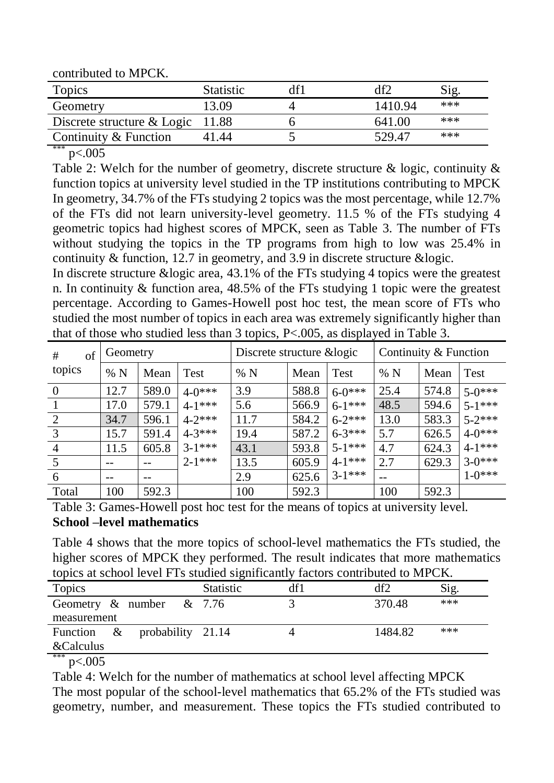contributed to MPCK.

| <b>Topics</b>                      | <b>Statistic</b> |         | Sig   |
|------------------------------------|------------------|---------|-------|
| Geometry                           | 13.09            | 1410.94 | ***   |
| Discrete structure $& Logic$ 11.88 |                  | 641.00  | $***$ |
| Continuity & Function              | 41.44            | 529.47  | $***$ |

 $p<.005$ 

Table 2: Welch for the number of geometry, discrete structure & logic, continuity & function topics at university level studied in the TP institutions contributing to MPCK In geometry, 34.7% of the FTs studying 2 topics was the most percentage, while 12.7% of the FTs did not learn university-level geometry. 11.5 % of the FTs studying 4 geometric topics had highest scores of MPCK, seen as Table 3. The number of FTs without studying the topics in the TP programs from high to low was 25.4% in continuity & function, 12.7 in geometry, and 3.9 in discrete structure &logic.

In discrete structure &logic area, 43.1% of the FTs studying 4 topics were the greatest n. In continuity & function area, 48.5% of the FTs studying 1 topic were the greatest percentage. According to Games-Howell post hoc test, the mean score of FTs who studied the most number of topics in each area was extremely significantly higher than that of those who studied less than 3 topics, P<.005, as displayed in Table 3.

| #<br>of        | Geometry |       |             | Discrete structure & logic |       |             | Continuity & Function |       |             |
|----------------|----------|-------|-------------|----------------------------|-------|-------------|-----------------------|-------|-------------|
| topics         | %N       | Mean  | Test        | % N                        | Mean  | Test        | % N                   | Mean  | <b>Test</b> |
| $\overline{0}$ | 12.7     | 589.0 | $4-0***$    | 3.9                        | 588.8 | $6-0***$    | 25.4                  | 574.8 | $5-0***$    |
|                | 17.0     | 579.1 | $4 - 1$ *** | 5.6                        | 566.9 | $6-1***$    | 48.5                  | 594.6 | $5-1***$    |
| 2              | 34.7     | 596.1 | $4 - 2$ *** | 11.7                       | 584.2 | $6 - 2$ *** | 13.0                  | 583.3 | $5 - 2$ *** |
| $\overline{3}$ | 15.7     | 591.4 | $4 - 3$ *** | 19.4                       | 587.2 | $6 - 3$ *** | 5.7                   | 626.5 | $4-0***$    |
| $\overline{4}$ | 11.5     | 605.8 | $3-1***$    | 43.1                       | 593.8 | $5 - 1$ *** | 4.7                   | 624.3 | $4 - 1$ *** |
|                |          |       | $2 - 1$ *** | 13.5                       | 605.9 | $4 - 1$ *** | 2.7                   | 629.3 | $3-0***$    |
| 6              |          | --    |             | 2.9                        | 625.6 | $3-1***$    |                       |       | $1 - 0$ *** |
| Total          | 100      | 592.3 |             | 100                        | 592.3 |             | 100                   | 592.3 |             |

Table 3: Games-Howell post hoc test for the means of topics at university level. **School –level mathematics**

Table 4 shows that the more topics of school-level mathematics the FTs studied, the higher scores of MPCK they performed. The result indicates that more mathematics topics at school level FTs studied significantly factors contributed to MPCK.

| Topics                         |                   | <b>Statistic</b> | df1 | df2     | Sig. |
|--------------------------------|-------------------|------------------|-----|---------|------|
| Geometry $\&$ number $\&$ 7.76 |                   |                  |     | 370.48  | ***  |
| measurement                    |                   |                  |     |         |      |
| Function $\&$                  | probability 21.14 |                  |     | 1484.82 | ***  |
| <b>&amp;Calculus</b>           |                   |                  |     |         |      |
| ***<br>$\sqrt{2}$ $\sqrt{2}$   |                   |                  |     |         |      |

 $p<.005$ 

Table 4: Welch for the number of mathematics at school level affecting MPCK The most popular of the school-level mathematics that 65.2% of the FTs studied was geometry, number, and measurement. These topics the FTs studied contributed to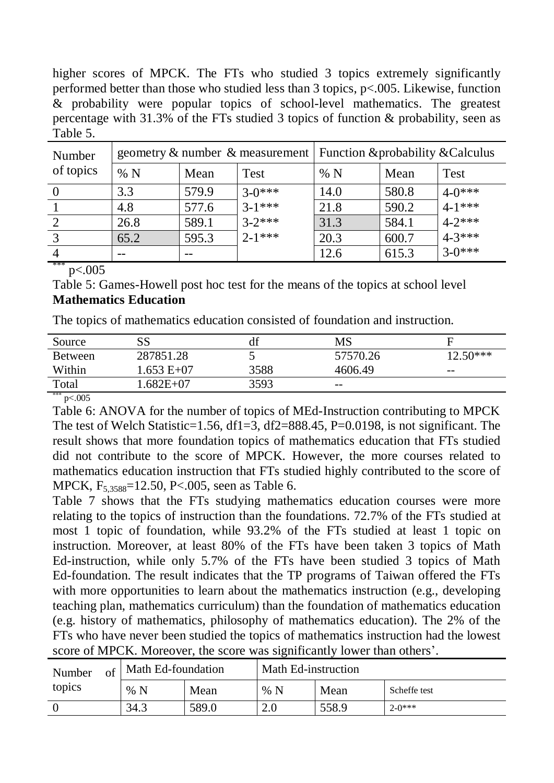higher scores of MPCK. The FTs who studied 3 topics extremely significantly performed better than those who studied less than 3 topics, p<.005. Likewise, function & probability were popular topics of school-level mathematics. The greatest percentage with 31.3% of the FTs studied 3 topics of function & probability, seen as Table 5.

| Number    | geometry & number & measurement   Function & probability & Calculus |       |             |      |       |             |
|-----------|---------------------------------------------------------------------|-------|-------------|------|-------|-------------|
| of topics | %N                                                                  | Mean  | <b>Test</b> | %N   | Mean  | <b>Test</b> |
|           | 3.3                                                                 | 579.9 | $3-0***$    | 14.0 | 580.8 | $4-0***$    |
|           | 4.8                                                                 | 577.6 | $3-1***$    | 21.8 | 590.2 | $4-1***$    |
|           | 26.8                                                                | 589.1 | $3 - 2$ *** | 31.3 | 584.1 | $4 - 2$ *** |
| 3         | 65.2                                                                | 595.3 | $2-1***$    | 20.3 | 600.7 | $4 - 3$ *** |
|           |                                                                     |       |             | 12.6 | 615.3 | $3-0***$    |

\*\*\*  $p<.005$ 

Table 5: Games-Howell post hoc test for the means of the topics at school level **Mathematics Education**

The topics of mathematics education consisted of foundation and instruction.

| Source         |              | df   | MS       | E          |
|----------------|--------------|------|----------|------------|
| <b>Between</b> | 287851.28    |      | 57570.26 | $12.50***$ |
| Within         | 1.653 E+07   | 3588 | 4606.49  | $- -$      |
| Total          | $.682E + 07$ | 3593 | $- -$    |            |
|                |              |      |          |            |

 $***$  p<.005

Table 6: ANOVA for the number of topics of MEd-Instruction contributing to MPCK The test of Welch Statistic=1.56, df1=3, df2=888.45, P=0.0198, is not significant. The result shows that more foundation topics of mathematics education that FTs studied did not contribute to the score of MPCK. However, the more courses related to mathematics education instruction that FTs studied highly contributed to the score of MPCK, F<sub>5,3588</sub>=12.50, P<.005, seen as Table 6.

Table 7 shows that the FTs studying mathematics education courses were more relating to the topics of instruction than the foundations. 72.7% of the FTs studied at most 1 topic of foundation, while 93.2% of the FTs studied at least 1 topic on instruction. Moreover, at least 80% of the FTs have been taken 3 topics of Math Ed-instruction, while only 5.7% of the FTs have been studied 3 topics of Math Ed-foundation. The result indicates that the TP programs of Taiwan offered the FTs with more opportunities to learn about the mathematics instruction (e.g., developing teaching plan, mathematics curriculum) than the foundation of mathematics education (e.g. history of mathematics, philosophy of mathematics education). The 2% of the FTs who have never been studied the topics of mathematics instruction had the lowest score of MPCK. Moreover, the score was significantly lower than others'.

| Number<br>Οt |  | Math Ed-foundation |       | Math Ed-instruction |       |              |  |
|--------------|--|--------------------|-------|---------------------|-------|--------------|--|
| topics       |  | %N                 | Mean  | %N                  | Mean  | Scheffe test |  |
|              |  | 34.3               | 589.0 | 2.0                 | 558.9 | $2-0***$     |  |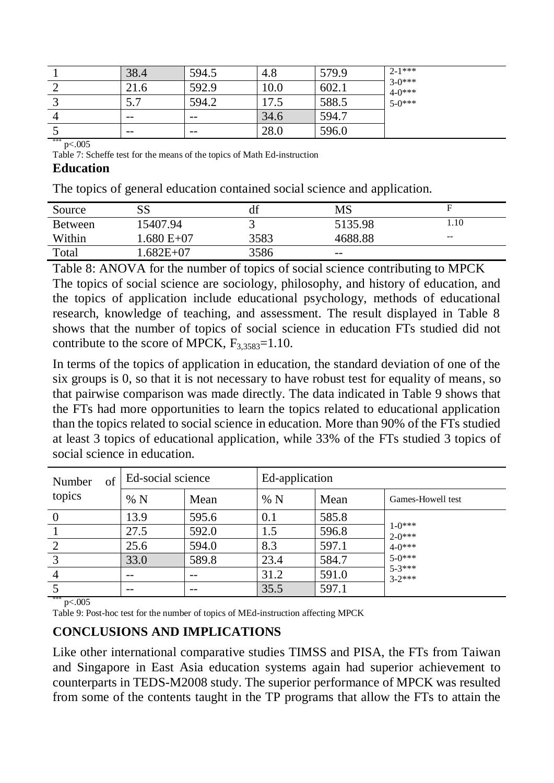| 38.4                  | 594.5 | 4.8  | 579.9 | $2-1***$                |
|-----------------------|-------|------|-------|-------------------------|
| 21.6                  | 592.9 | 10.0 | 602.1 | $3-0***$<br>$4 - 0$ *** |
| $\overline{ }$<br>ن ب | 594.2 | 17.5 | 588.5 | $5-0***$                |
| $- -$                 | $- -$ | 34.6 | 594.7 |                         |
| $- -$                 | $- -$ | 28.0 | 596.0 |                         |

\*\*\* p<.005

Table 7: Scheffe test for the means of the topics of Math Ed-instruction

#### **Education**

The topics of general education contained social science and application.

| Source         | SS          | df   | MS      |        |
|----------------|-------------|------|---------|--------|
| <b>Between</b> | 15407.94    |      | 5135.98 | 1.10   |
| Within         | $.680 E+07$ | 3583 | 4688.88 | $-\,-$ |
| Total          | $.682E+07$  | 3586 | $- -$   |        |

Table 8: ANOVA for the number of topics of social science contributing to MPCK The topics of social science are sociology, philosophy, and history of education, and the topics of application include educational psychology, methods of educational research, knowledge of teaching, and assessment. The result displayed in Table 8 shows that the number of topics of social science in education FTs studied did not contribute to the score of MPCK,  $F_3$ <sub>3583</sub>=1.10.

In terms of the topics of application in education, the standard deviation of one of the six groups is 0, so that it is not necessary to have robust test for equality of means, so that pairwise comparison was made directly. The data indicated in Table 9 shows that the FTs had more opportunities to learn the topics related to educational application than the topics related to social science in education. More than 90% of the FTs studied at least 3 topics of educational application, while 33% of the FTs studied 3 topics of social science in education.

| of<br>Number<br>topics | Ed-social science |      | Ed-application |      |       |                        |
|------------------------|-------------------|------|----------------|------|-------|------------------------|
|                        |                   | %N   | Mean           | %N   | Mean  | Games-Howell test      |
| $\bf{0}$               |                   | 13.9 | 595.6          | 0.1  | 585.8 |                        |
|                        |                   | 27.5 | 592.0          | 1.5  | 596.8 | $1-0***$<br>$2-0***$   |
| 2                      |                   | 25.6 | 594.0          | 8.3  | 597.1 | $4-0***$               |
| $\overline{3}$         |                   | 33.0 | 589.8          | 23.4 | 584.7 | $5 - 0$ ***            |
| $\overline{4}$         |                   | --   |                | 31.2 | 591.0 | $5 - 3***$<br>$3-2***$ |
|                        |                   | --   | --             | 35.5 | 597.1 |                        |

#### \*\*\*  $n < .005$

Table 9: Post-hoc test for the number of topics of MEd-instruction affecting MPCK

#### **CONCLUSIONS AND IMPLICATIONS**

Like other international comparative studies TIMSS and PISA, the FTs from Taiwan and Singapore in East Asia education systems again had superior achievement to counterparts in TEDS-M2008 study. The superior performance of MPCK was resulted from some of the contents taught in the TP programs that allow the FTs to attain the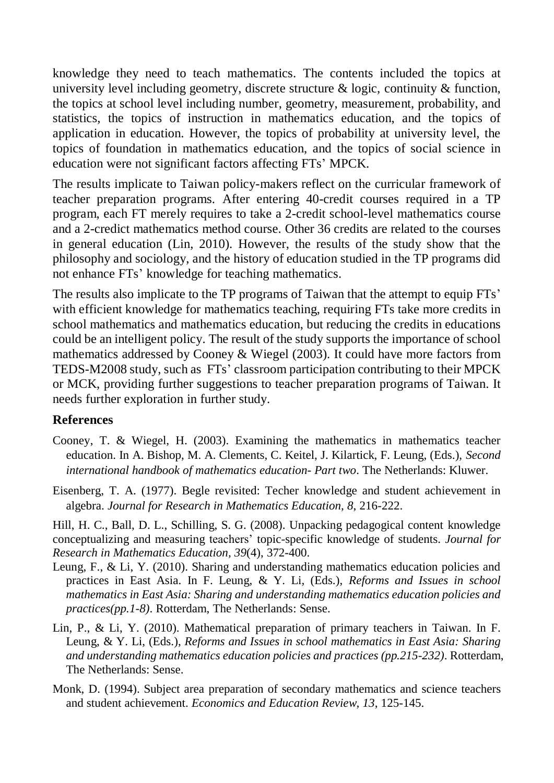knowledge they need to teach mathematics. The contents included the topics at university level including geometry, discrete structure & logic, continuity & function, the topics at school level including number, geometry, measurement, probability, and statistics, the topics of instruction in mathematics education, and the topics of application in education. However, the topics of probability at university level, the topics of foundation in mathematics education, and the topics of social science in education were not significant factors affecting FTs' MPCK.

The results implicate to Taiwan policy-makers reflect on the curricular framework of teacher preparation programs. After entering 40-credit courses required in a TP program, each FT merely requires to take a 2-credit school-level mathematics course and a 2-credict mathematics method course. Other 36 credits are related to the courses in general education (Lin, 2010). However, the results of the study show that the philosophy and sociology, and the history of education studied in the TP programs did not enhance FTs' knowledge for teaching mathematics.

The results also implicate to the TP programs of Taiwan that the attempt to equip FTs' with efficient knowledge for mathematics teaching, requiring FTs take more credits in school mathematics and mathematics education, but reducing the credits in educations could be an intelligent policy. The result of the study supports the importance of school mathematics addressed by Cooney & Wiegel (2003). It could have more factors from TEDS-M2008 study, such as FTs' classroom participation contributing to their MPCK or MCK, providing further suggestions to teacher preparation programs of Taiwan. It needs further exploration in further study.

### **References**

- Cooney, T. & Wiegel, H. (2003). Examining the mathematics in mathematics teacher education. In A. Bishop, M. A. Clements, C. Keitel, J. Kilartick, F. Leung, (Eds.), *Second international handbook of mathematics education- Part two*. The Netherlands: Kluwer.
- Eisenberg, T. A. (1977). Begle revisited: Techer knowledge and student achievement in algebra. *Journal for Research in Mathematics Education, 8*, 216-222.

Hill, H. C., Ball, D. L., Schilling, S. G. (2008). Unpacking pedagogical content knowledge conceptualizing and measuring teachers' topic-specific knowledge of students. *Journal for Research in Mathematics Education, 39*(4), 372-400.

- Leung, F., & Li, Y. (2010). Sharing and understanding mathematics education policies and practices in East Asia. In F. Leung, & Y. Li, (Eds.), *Reforms and Issues in school mathematics in East Asia: Sharing and understanding mathematics education policies and practices(pp.1-8)*. Rotterdam, The Netherlands: Sense.
- Lin, P., & Li, Y. (2010). Mathematical preparation of primary teachers in Taiwan. In F. Leung, & Y. Li, (Eds.), *Reforms and Issues in school mathematics in East Asia: Sharing and understanding mathematics education policies and practices (pp.215-232)*. Rotterdam, The Netherlands: Sense.
- Monk, D. (1994). Subject area preparation of secondary mathematics and science teachers and student achievement. *Economics and Education Review, 13*, 125-145.